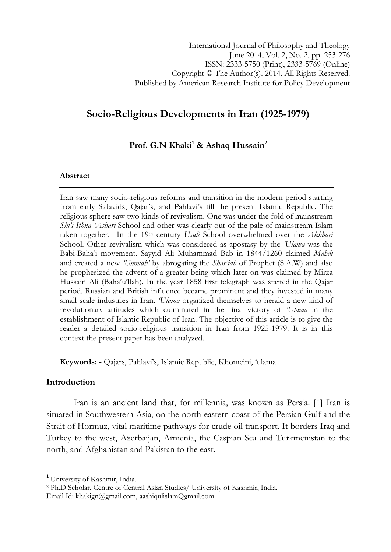# Socio-Religious Developments in Iran (1925-1979)

## Prof. G.N Khaki $^1$  & Ashaq Hussain $^2$

#### Abstract

Iran saw many socio-religious reforms and transition in the modern period starting from early Safavids, Qajar's, and Pahlavi's till the present Islamic Republic. The religious sphere saw two kinds of revivalism. One was under the fold of mainstream Shi'i Ithna 'Ashari School and other was clearly out of the pale of mainstream Islam taken together. In the 19th century Usuli School overwhelmed over the Akhbari School. Other revivalism which was considered as apostasy by the 'Ulama was the Babi-Baha'i movement. Sayyid Ali Muhammad Bab in 1844/1260 claimed Mahdi and created a new 'Ummah' by abrogating the *Shar'iah* of Prophet (S.A.W) and also he prophesized the advent of a greater being which later on was claimed by Mirza Hussain Ali (Baha'u'llah). In the year 1858 first telegraph was started in the Qajar period. Russian and British influence became prominent and they invested in many small scale industries in Iran. Ulama organized themselves to herald a new kind of revolutionary attitudes which culminated in the final victory of *Ulama* in the establishment of Islamic Republic of Iran. The objective of this article is to give the reader a detailed socio-religious transition in Iran from 1925-1979. It is in this context the present paper has been analyzed.

Keywords: - Qajars, Pahlavi's, Islamic Republic, Khomeini, 'ulama

### **Introduction**

 $\overline{a}$ 

Iran is an ancient land that, for millennia, was known as Persia. [1] Iran is situated in Southwestern Asia, on the north-eastern coast of the Persian Gulf and the Strait of Hormuz, vital maritime pathways for crude oil transport. It borders Iraq and Turkey to the west, Azerbaijan, Armenia, the Caspian Sea and Turkmenistan to the north, and Afghanistan and Pakistan to the east.

<sup>1</sup> University of Kashmir, India.

<sup>2</sup> Ph.D Scholar, Centre of Central Asian Studies/ University of Kashmir, India. Email Id: khakign@gmail.com, aashiqulislamQgmail.com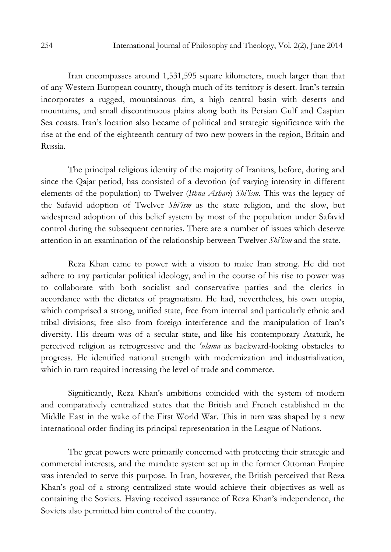Iran encompasses around 1,531,595 square kilometers, much larger than that of any Western European country, though much of its territory is desert. Iran's terrain incorporates a rugged, mountainous rim, a high central basin with deserts and mountains, and small discontinuous plains along both its Persian Gulf and Caspian Sea coasts. Iran's location also became of political and strategic significance with the rise at the end of the eighteenth century of two new powers in the region, Britain and Russia.

The principal religious identity of the majority of Iranians, before, during and since the Qajar period, has consisted of a devotion (of varying intensity in different elements of the population) to Twelver *(Ithna Ashari) Shi'ism*. This was the legacy of the Safavid adoption of Twelver Shi'ism as the state religion, and the slow, but widespread adoption of this belief system by most of the population under Safavid control during the subsequent centuries. There are a number of issues which deserve attention in an examination of the relationship between Twelver  $Shi'ism$  and the state.

Reza Khan came to power with a vision to make Iran strong. He did not adhere to any particular political ideology, and in the course of his rise to power was to collaborate with both socialist and conservative parties and the clerics in accordance with the dictates of pragmatism. He had, nevertheless, his own utopia, which comprised a strong, unified state, free from internal and particularly ethnic and tribal divisions; free also from foreign interference and the manipulation of Iran's diversity. His dream was of a secular state, and like his contemporary Ataturk, he perceived religion as retrogressive and the 'ulama as backward-looking obstacles to progress. He identified national strength with modernization and industrialization, which in turn required increasing the level of trade and commerce.

Significantly, Reza Khan's ambitions coincided with the system of modern and comparatively centralized states that the British and French established in the Middle East in the wake of the First World War. This in turn was shaped by a new international order finding its principal representation in the League of Nations.

The great powers were primarily concerned with protecting their strategic and commercial interests, and the mandate system set up in the former Ottoman Empire was intended to serve this purpose. In Iran, however, the British perceived that Reza Khan's goal of a strong centralized state would achieve their objectives as well as containing the Soviets. Having received assurance of Reza Khan's independence, the Soviets also permitted him control of the country.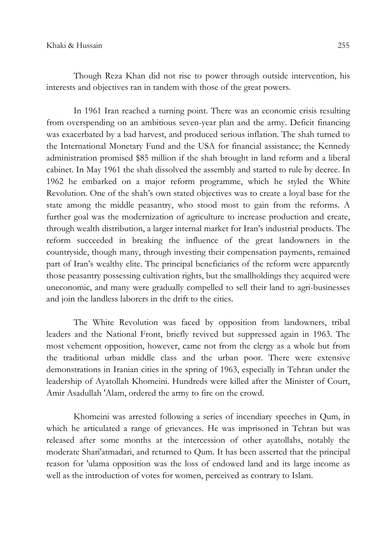Though Reza Khan did not rise to power through outside intervention, his interests and objectives ran in tandem with those of the great powers.

In 1961 Iran reached a turning point. There was an economic crisis resulting from overspending on an ambitious seven-year plan and the army. Deficit financing was exacerbated by a bad harvest, and produced serious inflation. The shah turned to the International Monetary Fund and the USA for financial assistance; the Kennedy administration promised \$85 million if the shah brought in land reform and a liberal cabinet. In May 1961 the shah dissolved the assembly and started to rule by decree. In 1962 he embarked on a major reform programme, which he styled the White Revolution. One of the shah's own stated objectives was to create a loyal base for the state among the middle peasantry, who stood most to gain from the reforms. A further goal was the modernization of agriculture to increase production and create, through wealth distribution, a larger internal market for Iran's industrial products. The reform succeeded in breaking the influence of the great landowners in the countryside, though many, through investing their compensation payments, remained part of Iran's wealthy elite. The principal beneficiaries of the reform were apparently those peasantry possessing cultivation rights, but the smallholdings they acquired were uneconomic, and many were gradually compelled to sell their land to agri-businesses and join the landless laborers in the drift to the cities.

The White Revolution was faced by opposition from landowners, tribal leaders and the National Front, briefly revived but suppressed again in 1963. The most vehement opposition, however, came not from the clergy as a whole but from the traditional urban middle class and the urban poor. There were extensive demonstrations in Iranian cities in the spring of 1963, especially in Tehran under the leadership of Ayatollah Khomeini. Hundreds were killed after the Minister of Court, Amir Asadullah 'Alam, ordered the army to fire on the crowd.

Khomeini was arrested following a series of incendiary speeches in Qum, in which he articulated a range of grievances. He was imprisoned in Tehran but was released after some months at the intercession of other ayatollahs, notably the moderate Shari'atmadari, and returned to Qum. It has been asserted that the principal reason for 'ulama opposition was the loss of endowed land and its large income as well as the introduction of votes for women, perceived as contrary to Islam.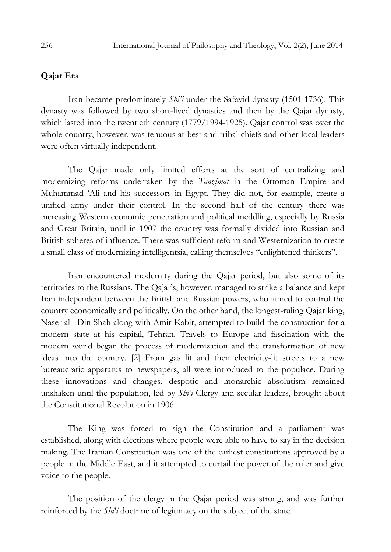## Qajar Era

Iran became predominately *Shi'i* under the Safavid dynasty (1501-1736). This dynasty was followed by two short-lived dynasties and then by the Qajar dynasty, which lasted into the twentieth century (1779/1994-1925). Qajar control was over the whole country, however, was tenuous at best and tribal chiefs and other local leaders were often virtually independent.

The Qajar made only limited efforts at the sort of centralizing and modernizing reforms undertaken by the Tanzimat in the Ottoman Empire and Muhammad 'Ali and his successors in Egypt. They did not, for example, create a unified army under their control. In the second half of the century there was increasing Western economic penetration and political meddling, especially by Russia and Great Britain, until in 1907 the country was formally divided into Russian and British spheres of influence. There was sufficient reform and Westernization to create a small class of modernizing intelligentsia, calling themselves "enlightened thinkers".

Iran encountered modernity during the Qajar period, but also some of its territories to the Russians. The Qajar's, however, managed to strike a balance and kept Iran independent between the British and Russian powers, who aimed to control the country economically and politically. On the other hand, the longest-ruling Qajar king, Naser al –Din Shah along with Amir Kabir, attempted to build the construction for a modern state at his capital, Tehran. Travels to Europe and fascination with the modern world began the process of modernization and the transformation of new ideas into the country. [2] From gas lit and then electricity-lit streets to a new bureaucratic apparatus to newspapers, all were introduced to the populace. During these innovations and changes, despotic and monarchic absolutism remained unshaken until the population, led by  $\mathit{Shi'}$  Clergy and secular leaders, brought about the Constitutional Revolution in 1906.

The King was forced to sign the Constitution and a parliament was established, along with elections where people were able to have to say in the decision making. The Iranian Constitution was one of the earliest constitutions approved by a people in the Middle East, and it attempted to curtail the power of the ruler and give voice to the people.

The position of the clergy in the Qajar period was strong, and was further reinforced by the *Shi'i* doctrine of legitimacy on the subject of the state.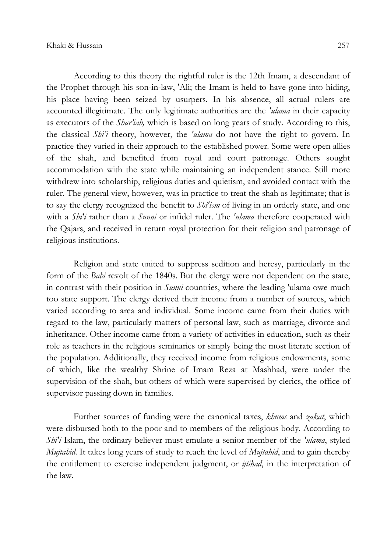According to this theory the rightful ruler is the 12th Imam, a descendant of the Prophet through his son-in-law, 'Ali; the Imam is held to have gone into hiding, his place having been seized by usurpers. In his absence, all actual rulers are accounted illegitimate. The only legitimate authorities are the *'ulama* in their capacity as executors of the *Shar'iah*, which is based on long years of study. According to this, the classical Shi'i theory, however, the 'ulama do not have the right to govern. In practice they varied in their approach to the established power. Some were open allies of the shah, and benefited from royal and court patronage. Others sought accommodation with the state while maintaining an independent stance. Still more withdrew into scholarship, religious duties and quietism, and avoided contact with the ruler. The general view, however, was in practice to treat the shah as legitimate; that is to say the clergy recognized the benefit to *Shi'ism* of living in an orderly state, and one with a *Shi'i* rather than a *Sunni* or infidel ruler. The 'ulama therefore cooperated with the Qajars, and received in return royal protection for their religion and patronage of religious institutions.

Religion and state united to suppress sedition and heresy, particularly in the form of the *Babi* revolt of the 1840s. But the clergy were not dependent on the state, in contrast with their position in *Sunni* countries, where the leading 'ulama owe much too state support. The clergy derived their income from a number of sources, which varied according to area and individual. Some income came from their duties with regard to the law, particularly matters of personal law, such as marriage, divorce and inheritance. Other income came from a variety of activities in education, such as their role as teachers in the religious seminaries or simply being the most literate section of the population. Additionally, they received income from religious endowments, some of which, like the wealthy Shrine of Imam Reza at Mashhad, were under the supervision of the shah, but others of which were supervised by clerics, the office of supervisor passing down in families.

Further sources of funding were the canonical taxes, khums and zakat, which were disbursed both to the poor and to members of the religious body. According to Shi'i Islam, the ordinary believer must emulate a senior member of the 'ulama, styled Mujtahid. It takes long years of study to reach the level of *Mujtahid*, and to gain thereby the entitlement to exercise independent judgment, or *ijtihad*, in the interpretation of the law.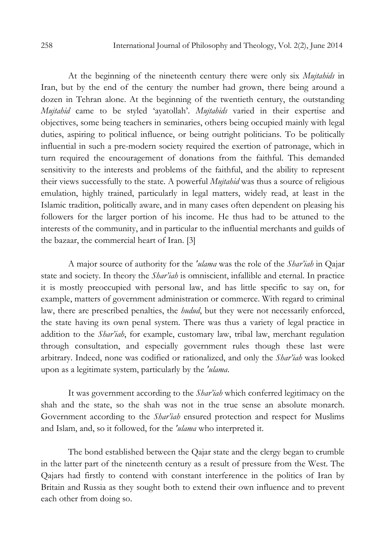At the beginning of the nineteenth century there were only six *Mujtahids* in Iran, but by the end of the century the number had grown, there being around a dozen in Tehran alone. At the beginning of the twentieth century, the outstanding Mujtahid came to be styled 'ayatollah'. Mujtahids varied in their expertise and objectives, some being teachers in seminaries, others being occupied mainly with legal duties, aspiring to political influence, or being outright politicians. To be politically influential in such a pre-modern society required the exertion of patronage, which in turn required the encouragement of donations from the faithful. This demanded sensitivity to the interests and problems of the faithful, and the ability to represent their views successfully to the state. A powerful *Mujtahid* was thus a source of religious emulation, highly trained, particularly in legal matters, widely read, at least in the Islamic tradition, politically aware, and in many cases often dependent on pleasing his followers for the larger portion of his income. He thus had to be attuned to the interests of the community, and in particular to the influential merchants and guilds of the bazaar, the commercial heart of Iran. [3]

A major source of authority for the 'ulama was the role of the Shar'iah in Qajar state and society. In theory the *Shar'iah* is omniscient, infallible and eternal. In practice it is mostly preoccupied with personal law, and has little specific to say on, for example, matters of government administration or commerce. With regard to criminal law, there are prescribed penalties, the *hudud*, but they were not necessarily enforced, the state having its own penal system. There was thus a variety of legal practice in addition to the Shar'iah, for example, customary law, tribal law, merchant regulation through consultation, and especially government rules though these last were arbitrary. Indeed, none was codified or rationalized, and only the *Shar'iah* was looked upon as a legitimate system, particularly by the 'ulama.

It was government according to the *Shar'iah* which conferred legitimacy on the shah and the state, so the shah was not in the true sense an absolute monarch. Government according to the *Shar'iah* ensured protection and respect for Muslims and Islam, and, so it followed, for the 'ulama who interpreted it.

The bond established between the Qajar state and the clergy began to crumble in the latter part of the nineteenth century as a result of pressure from the West. The Qajars had firstly to contend with constant interference in the politics of Iran by Britain and Russia as they sought both to extend their own influence and to prevent each other from doing so.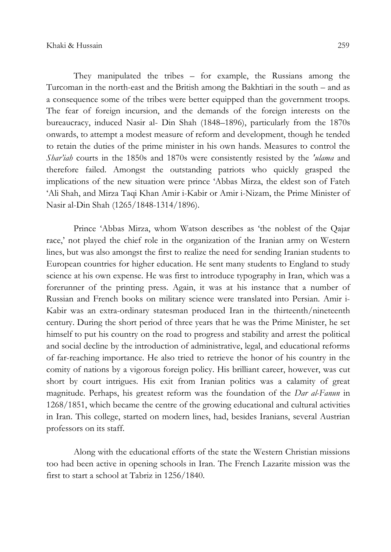They manipulated the tribes – for example, the Russians among the Turcoman in the north-east and the British among the Bakhtiari in the south – and as a consequence some of the tribes were better equipped than the government troops. The fear of foreign incursion, and the demands of the foreign interests on the bureaucracy, induced Nasir al- Din Shah (1848–1896), particularly from the 1870s onwards, to attempt a modest measure of reform and development, though he tended to retain the duties of the prime minister in his own hands. Measures to control the Shar'iah courts in the 1850s and 1870s were consistently resisted by the *'ulama* and therefore failed. Amongst the outstanding patriots who quickly grasped the implications of the new situation were prince 'Abbas Mirza, the eldest son of Fateh 'Ali Shah, and Mirza Taqi Khan Amir i-Kabir or Amir i-Nizam, the Prime Minister of Nasir al-Din Shah (1265/1848-1314/1896).

Prince 'Abbas Mirza, whom Watson describes as 'the noblest of the Qajar race,' not played the chief role in the organization of the Iranian army on Western lines, but was also amongst the first to realize the need for sending Iranian students to European countries for higher education. He sent many students to England to study science at his own expense. He was first to introduce typography in Iran, which was a forerunner of the printing press. Again, it was at his instance that a number of Russian and French books on military science were translated into Persian. Amir i-Kabir was an extra-ordinary statesman produced Iran in the thirteenth/nineteenth century. During the short period of three years that he was the Prime Minister, he set himself to put his country on the road to progress and stability and arrest the political and social decline by the introduction of administrative, legal, and educational reforms of far-reaching importance. He also tried to retrieve the honor of his country in the comity of nations by a vigorous foreign policy. His brilliant career, however, was cut short by court intrigues. His exit from Iranian politics was a calamity of great magnitude. Perhaps, his greatest reform was the foundation of the *Dar al-Fanun* in 1268/1851, which became the centre of the growing educational and cultural activities in Iran. This college, started on modern lines, had, besides Iranians, several Austrian professors on its staff.

Along with the educational efforts of the state the Western Christian missions too had been active in opening schools in Iran. The French Lazarite mission was the first to start a school at Tabriz in 1256/1840.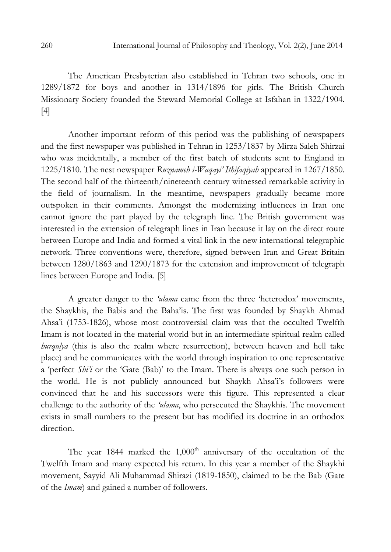The American Presbyterian also established in Tehran two schools, one in 1289/1872 for boys and another in 1314/1896 for girls. The British Church Missionary Society founded the Steward Memorial College at Isfahan in 1322/1904. [4]

Another important reform of this period was the publishing of newspapers and the first newspaper was published in Tehran in 1253/1837 by Mirza Saleh Shirzai who was incidentally, a member of the first batch of students sent to England in 1225/1810. The nest newspaper Ruznameh i-Waqayi' Ithifaqiyah appeared in 1267/1850. The second half of the thirteenth/nineteenth century witnessed remarkable activity in the field of journalism. In the meantime, newspapers gradually became more outspoken in their comments. Amongst the modernizing influences in Iran one cannot ignore the part played by the telegraph line. The British government was interested in the extension of telegraph lines in Iran because it lay on the direct route between Europe and India and formed a vital link in the new international telegraphic network. Three conventions were, therefore, signed between Iran and Great Britain between 1280/1863 and 1290/1873 for the extension and improvement of telegraph lines between Europe and India. [5]

A greater danger to the 'ulama came from the three 'heterodox' movements, the Shaykhis, the Babis and the Baha'is. The first was founded by Shaykh Ahmad Ahsa'i (1753-1826), whose most controversial claim was that the occulted Twelfth Imam is not located in the material world but in an intermediate spiritual realm called hurqulya (this is also the realm where resurrection), between heaven and hell take place) and he communicates with the world through inspiration to one representative a 'perfect  $Shi'i$ ' or the 'Gate (Bab)' to the Imam. There is always one such person in the world. He is not publicly announced but Shaykh Ahsa'i's followers were convinced that he and his successors were this figure. This represented a clear challenge to the authority of the 'ulama, who persecuted the Shaykhis. The movement exists in small numbers to the present but has modified its doctrine in an orthodox direction.

The year 1844 marked the  $1,000<sup>th</sup>$  anniversary of the occultation of the Twelfth Imam and many expected his return. In this year a member of the Shaykhi movement, Sayyid Ali Muhammad Shirazi (1819-1850), claimed to be the Bab (Gate of the Imam) and gained a number of followers.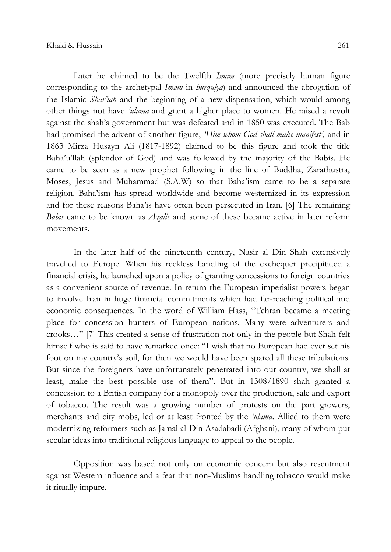Later he claimed to be the Twelfth *Imam* (more precisely human figure corresponding to the archetypal *Imam* in *hurqulya*) and announced the abrogation of the Islamic *Shar'iah* and the beginning of a new dispensation, which would among other things not have 'ulama and grant a higher place to women. He raised a revolt against the shah's government but was defeated and in 1850 was executed. The Bab had promised the advent of another figure, 'Him whom God shall make manifest', and in 1863 Mirza Husayn Ali (1817-1892) claimed to be this figure and took the title Baha'u'llah (splendor of God) and was followed by the majority of the Babis. He came to be seen as a new prophet following in the line of Buddha, Zarathustra, Moses, Jesus and Muhammad (S.A.W) so that Baha'ism came to be a separate religion. Baha'ism has spread worldwide and become westernized in its expression and for these reasons Baha'is have often been persecuted in Iran. [6] The remaining Babis came to be known as *Azalis* and some of these became active in later reform movements.

In the later half of the nineteenth century, Nasir al Din Shah extensively travelled to Europe. When his reckless handling of the exchequer precipitated a financial crisis, he launched upon a policy of granting concessions to foreign countries as a convenient source of revenue. In return the European imperialist powers began to involve Iran in huge financial commitments which had far-reaching political and economic consequences. In the word of William Hass, "Tehran became a meeting place for concession hunters of European nations. Many were adventurers and crooks…" [7] This created a sense of frustration not only in the people but Shah felt himself who is said to have remarked once: "I wish that no European had ever set his foot on my country's soil, for then we would have been spared all these tribulations. But since the foreigners have unfortunately penetrated into our country, we shall at least, make the best possible use of them". But in 1308/1890 shah granted a concession to a British company for a monopoly over the production, sale and export of tobacco. The result was a growing number of protests on the part growers, merchants and city mobs, led or at least fronted by the 'ulama. Allied to them were modernizing reformers such as Jamal al-Din Asadabadi (Afghani), many of whom put secular ideas into traditional religious language to appeal to the people.

Opposition was based not only on economic concern but also resentment against Western influence and a fear that non-Muslims handling tobacco would make it ritually impure.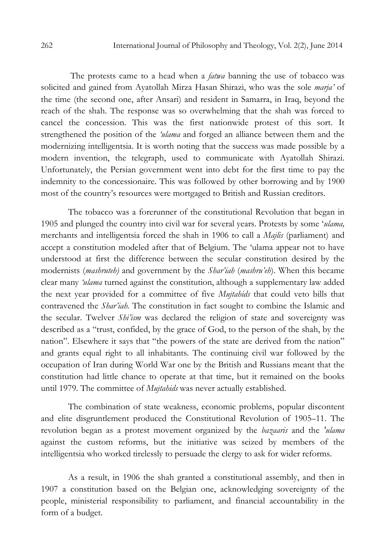The protests came to a head when a *fatwa* banning the use of tobacco was solicited and gained from Ayatollah Mirza Hasan Shirazi, who was the sole marja' of the time (the second one, after Ansari) and resident in Samarra, in Iraq, beyond the reach of the shah. The response was so overwhelming that the shah was forced to cancel the concession. This was the first nationwide protest of this sort. It strengthened the position of the 'ulama and forged an alliance between them and the modernizing intelligentsia. It is worth noting that the success was made possible by a modern invention, the telegraph, used to communicate with Ayatollah Shirazi. Unfortunately, the Persian government went into debt for the first time to pay the indemnity to the concessionaire. This was followed by other borrowing and by 1900 most of the country's resources were mortgaged to British and Russian creditors.

The tobacco was a forerunner of the constitutional Revolution that began in 1905 and plunged the country into civil war for several years. Protests by some 'ulama, merchants and intelligentsia forced the shah in 1906 to call a Majlis (parliament) and accept a constitution modeled after that of Belgium. The 'ulama appear not to have understood at first the difference between the secular constitution desired by the modernists (mashruteh) and government by the Shar'iah (mashru'eh). When this became clear many 'ulama turned against the constitution, although a supplementary law added the next year provided for a committee of five *Mujtahids* that could veto bills that contravened the Shar'iah. The constitution in fact sought to combine the Islamic and the secular. Twelver *Shi'ism* was declared the religion of state and sovereignty was described as a "trust, confided, by the grace of God, to the person of the shah, by the nation". Elsewhere it says that "the powers of the state are derived from the nation" and grants equal right to all inhabitants. The continuing civil war followed by the occupation of Iran during World War one by the British and Russians meant that the constitution had little chance to operate at that time, but it remained on the books until 1979. The committee of *Mujtahids* was never actually established.

The combination of state weakness, economic problems, popular discontent and elite disgruntlement produced the Constitutional Revolution of 1905–11. The revolution began as a protest movement organized by the *bazaaris* and the *'ulama* against the custom reforms, but the initiative was seized by members of the intelligentsia who worked tirelessly to persuade the clergy to ask for wider reforms.

As a result, in 1906 the shah granted a constitutional assembly, and then in 1907 a constitution based on the Belgian one, acknowledging sovereignty of the people, ministerial responsibility to parliament, and financial accountability in the form of a budget.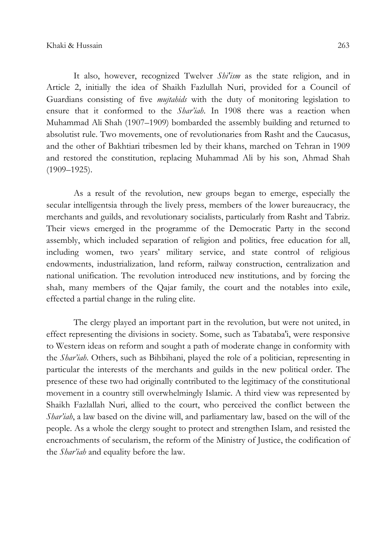It also, however, recognized Twelver Shi'ism as the state religion, and in Article 2, initially the idea of Shaikh Fazlullah Nuri, provided for a Council of Guardians consisting of five *mujtahids* with the duty of monitoring legislation to ensure that it conformed to the Shar'iah. In 1908 there was a reaction when Muhammad Ali Shah (1907–1909) bombarded the assembly building and returned to absolutist rule. Two movements, one of revolutionaries from Rasht and the Caucasus, and the other of Bakhtiari tribesmen led by their khans, marched on Tehran in 1909 and restored the constitution, replacing Muhammad Ali by his son, Ahmad Shah (1909–1925).

As a result of the revolution, new groups began to emerge, especially the secular intelligentsia through the lively press, members of the lower bureaucracy, the merchants and guilds, and revolutionary socialists, particularly from Rasht and Tabriz. Their views emerged in the programme of the Democratic Party in the second assembly, which included separation of religion and politics, free education for all, including women, two years' military service, and state control of religious endowments, industrialization, land reform, railway construction, centralization and national unification. The revolution introduced new institutions, and by forcing the shah, many members of the Qajar family, the court and the notables into exile, effected a partial change in the ruling elite.

The clergy played an important part in the revolution, but were not united, in effect representing the divisions in society. Some, such as Tabataba'i, were responsive to Western ideas on reform and sought a path of moderate change in conformity with the Shar'iah. Others, such as Bihbihani, played the role of a politician, representing in particular the interests of the merchants and guilds in the new political order. The presence of these two had originally contributed to the legitimacy of the constitutional movement in a country still overwhelmingly Islamic. A third view was represented by Shaikh Fazlallah Nuri, allied to the court, who perceived the conflict between the Shar'iah, a law based on the divine will, and parliamentary law, based on the will of the people. As a whole the clergy sought to protect and strengthen Islam, and resisted the encroachments of secularism, the reform of the Ministry of Justice, the codification of the Shar'iah and equality before the law.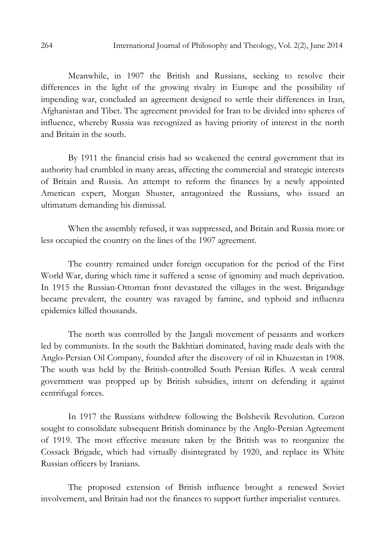Meanwhile, in 1907 the British and Russians, seeking to resolve their differences in the light of the growing rivalry in Europe and the possibility of impending war, concluded an agreement designed to settle their differences in Iran, Afghanistan and Tibet. The agreement provided for Iran to be divided into spheres of influence, whereby Russia was recognized as having priority of interest in the north and Britain in the south.

By 1911 the financial crisis had so weakened the central government that its authority had crumbled in many areas, affecting the commercial and strategic interests of Britain and Russia. An attempt to reform the finances by a newly appointed American expert, Morgan Shuster, antagonized the Russians, who issued an ultimatum demanding his dismissal.

When the assembly refused, it was suppressed, and Britain and Russia more or less occupied the country on the lines of the 1907 agreement.

The country remained under foreign occupation for the period of the First World War, during which time it suffered a sense of ignominy and much deprivation. In 1915 the Russian-Ottoman front devastated the villages in the west. Brigandage became prevalent, the country was ravaged by famine, and typhoid and influenza epidemics killed thousands.

The north was controlled by the Jangali movement of peasants and workers led by communists. In the south the Bakhtiari dominated, having made deals with the Anglo-Persian Oil Company, founded after the discovery of oil in Khuzestan in 1908. The south was held by the British-controlled South Persian Rifles. A weak central government was propped up by British subsidies, intent on defending it against centrifugal forces.

In 1917 the Russians withdrew following the Bolshevik Revolution. Curzon sought to consolidate subsequent British dominance by the Anglo-Persian Agreement of 1919. The most effective measure taken by the British was to reorganize the Cossack Brigade, which had virtually disintegrated by 1920, and replace its White Russian officers by Iranians.

The proposed extension of British influence brought a renewed Soviet involvement, and Britain had not the finances to support further imperialist ventures.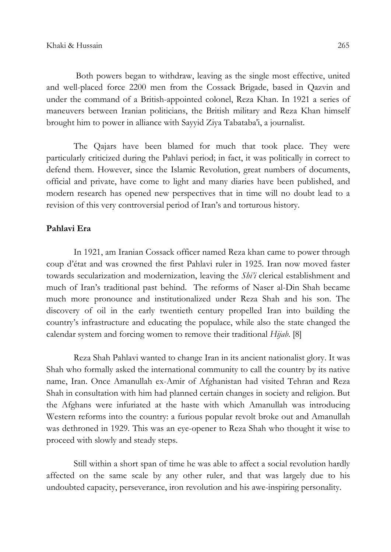Both powers began to withdraw, leaving as the single most effective, united and well-placed force 2200 men from the Cossack Brigade, based in Qazvin and under the command of a British-appointed colonel, Reza Khan. In 1921 a series of maneuvers between Iranian politicians, the British military and Reza Khan himself brought him to power in alliance with Sayyid Ziya Tabataba'i, a journalist.

The Qajars have been blamed for much that took place. They were particularly criticized during the Pahlavi period; in fact, it was politically in correct to defend them. However, since the Islamic Revolution, great numbers of documents, official and private, have come to light and many diaries have been published, and modern research has opened new perspectives that in time will no doubt lead to a revision of this very controversial period of Iran's and torturous history.

#### Pahlavi Era

In 1921, am Iranian Cossack officer named Reza khan came to power through coup d'état and was crowned the first Pahlavi ruler in 1925. Iran now moved faster towards secularization and modernization, leaving the *Shi'i* clerical establishment and much of Iran's traditional past behind. The reforms of Naser al-Din Shah became much more pronounce and institutionalized under Reza Shah and his son. The discovery of oil in the early twentieth century propelled Iran into building the country's infrastructure and educating the populace, while also the state changed the calendar system and forcing women to remove their traditional Hijab. [8]

Reza Shah Pahlavi wanted to change Iran in its ancient nationalist glory. It was Shah who formally asked the international community to call the country by its native name, Iran. Once Amanullah ex-Amir of Afghanistan had visited Tehran and Reza Shah in consultation with him had planned certain changes in society and religion. But the Afghans were infuriated at the haste with which Amanullah was introducing Western reforms into the country: a furious popular revolt broke out and Amanullah was dethroned in 1929. This was an eye-opener to Reza Shah who thought it wise to proceed with slowly and steady steps.

Still within a short span of time he was able to affect a social revolution hardly affected on the same scale by any other ruler, and that was largely due to his undoubted capacity, perseverance, iron revolution and his awe-inspiring personality.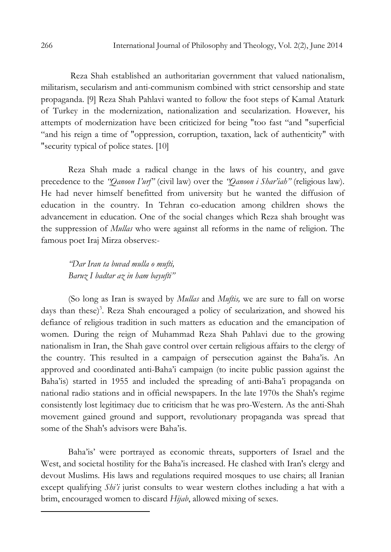Reza Shah established an authoritarian government that valued nationalism, militarism, secularism and anti-communism combined with strict censorship and state propaganda. [9] Reza Shah Pahlavi wanted to follow the foot steps of Kamal Ataturk of Turkey in the modernization, nationalization and secularization. However, his attempts of modernization have been criticized for being "too fast "and "superficial "and his reign a time of "oppression, corruption, taxation, lack of authenticity" with "security typical of police states. [10]

Reza Shah made a radical change in the laws of his country, and gave precedence to the "Qanoon I'urf" (civil law) over the "Qanoon i Shar'iah" (religious law). He had never himself benefitted from university but he wanted the diffusion of education in the country. In Tehran co-education among children shows the advancement in education. One of the social changes which Reza shah brought was the suppression of Mullas who were against all reforms in the name of religion. The famous poet Iraj Mirza observes:-

"Dar Iran ta buvad mulla o mufti, Baruz I badtar az in ham bayufti"

(So long as Iran is swayed by *Mullas* and *Muftis*, we are sure to fall on worse days than these)<sup>3</sup>. Reza Shah encouraged a policy of secularization, and showed his defiance of religious tradition in such matters as education and the emancipation of women. During the reign of Muhammad Reza Shah Pahlavi due to the growing nationalism in Iran, the Shah gave control over certain religious affairs to the clergy of the country. This resulted in a campaign of persecution against the Baha'is. An approved and coordinated anti-Baha'i campaign (to incite public passion against the Baha'is) started in 1955 and included the spreading of anti-Baha'i propaganda on national radio stations and in official newspapers. In the late 1970s the Shah's regime consistently lost legitimacy due to criticism that he was pro-Western. As the anti-Shah movement gained ground and support, revolutionary propaganda was spread that some of the Shah's advisors were Baha'is.

Baha'is' were portrayed as economic threats, supporters of Israel and the West, and societal hostility for the Baha'is increased. He clashed with Iran's clergy and devout Muslims. His laws and regulations required mosques to use chairs; all Iranian except qualifying *Shi'i* jurist consults to wear western clothes including a hat with a brim, encouraged women to discard Hijab, allowed mixing of sexes.

 $\overline{a}$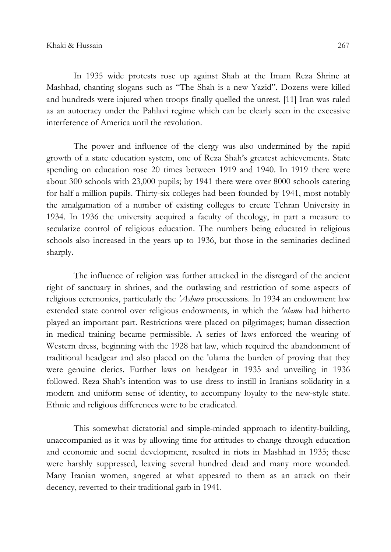In 1935 wide protests rose up against Shah at the Imam Reza Shrine at Mashhad, chanting slogans such as "The Shah is a new Yazid". Dozens were killed and hundreds were injured when troops finally quelled the unrest. [11] Iran was ruled as an autocracy under the Pahlavi regime which can be clearly seen in the excessive interference of America until the revolution.

The power and influence of the clergy was also undermined by the rapid growth of a state education system, one of Reza Shah's greatest achievements. State spending on education rose 20 times between 1919 and 1940. In 1919 there were about 300 schools with 23,000 pupils; by 1941 there were over 8000 schools catering for half a million pupils. Thirty-six colleges had been founded by 1941, most notably the amalgamation of a number of existing colleges to create Tehran University in 1934. In 1936 the university acquired a faculty of theology, in part a measure to secularize control of religious education. The numbers being educated in religious schools also increased in the years up to 1936, but those in the seminaries declined sharply.

The influence of religion was further attacked in the disregard of the ancient right of sanctuary in shrines, and the outlawing and restriction of some aspects of religious ceremonies, particularly the 'Ashura processions. In 1934 an endowment law extended state control over religious endowments, in which the 'ulama had hitherto played an important part. Restrictions were placed on pilgrimages; human dissection in medical training became permissible. A series of laws enforced the wearing of Western dress, beginning with the 1928 hat law, which required the abandonment of traditional headgear and also placed on the 'ulama the burden of proving that they were genuine clerics. Further laws on headgear in 1935 and unveiling in 1936 followed. Reza Shah's intention was to use dress to instill in Iranians solidarity in a modern and uniform sense of identity, to accompany loyalty to the new-style state. Ethnic and religious differences were to be eradicated.

This somewhat dictatorial and simple-minded approach to identity-building, unaccompanied as it was by allowing time for attitudes to change through education and economic and social development, resulted in riots in Mashhad in 1935; these were harshly suppressed, leaving several hundred dead and many more wounded. Many Iranian women, angered at what appeared to them as an attack on their decency, reverted to their traditional garb in 1941.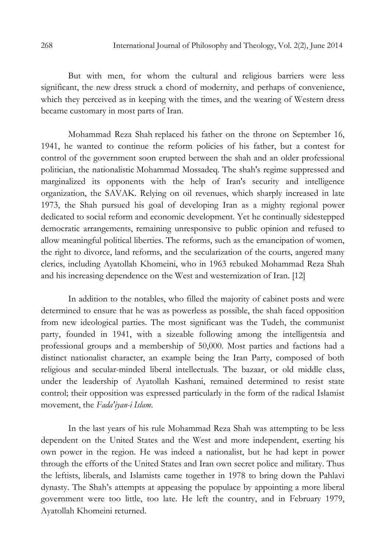But with men, for whom the cultural and religious barriers were less significant, the new dress struck a chord of modernity, and perhaps of convenience, which they perceived as in keeping with the times, and the wearing of Western dress became customary in most parts of Iran.

Mohammad Reza Shah replaced his father on the throne on September 16, 1941, he wanted to continue the reform policies of his father, but a contest for control of the government soon erupted between the shah and an older professional politician, the nationalistic Mohammad Mossadeq. The shah's regime suppressed and marginalized its opponents with the help of Iran's security and intelligence organization, the SAVAK. Relying on oil revenues, which sharply increased in late 1973, the Shah pursued his goal of developing Iran as a mighty regional power dedicated to social reform and economic development. Yet he continually sidestepped democratic arrangements, remaining unresponsive to public opinion and refused to allow meaningful political liberties. The reforms, such as the emancipation of women, the right to divorce, land reforms, and the secularization of the courts, angered many clerics, including Ayatollah Khomeini, who in 1963 rebuked Mohammad Reza Shah and his increasing dependence on the West and westernization of Iran. [12]

In addition to the notables, who filled the majority of cabinet posts and were determined to ensure that he was as powerless as possible, the shah faced opposition from new ideological parties. The most significant was the Tudeh, the communist party, founded in 1941, with a sizeable following among the intelligentsia and professional groups and a membership of 50,000. Most parties and factions had a distinct nationalist character, an example being the Iran Party, composed of both religious and secular-minded liberal intellectuals. The bazaar, or old middle class, under the leadership of Ayatollah Kashani, remained determined to resist state control; their opposition was expressed particularly in the form of the radical Islamist movement, the Fada'iyan-i Islam.

In the last years of his rule Mohammad Reza Shah was attempting to be less dependent on the United States and the West and more independent, exerting his own power in the region. He was indeed a nationalist, but he had kept in power through the efforts of the United States and Iran own secret police and military. Thus the leftists, liberals, and Islamists came together in 1978 to bring down the Pahlavi dynasty. The Shah's attempts at appeasing the populace by appointing a more liberal government were too little, too late. He left the country, and in February 1979, Ayatollah Khomeini returned.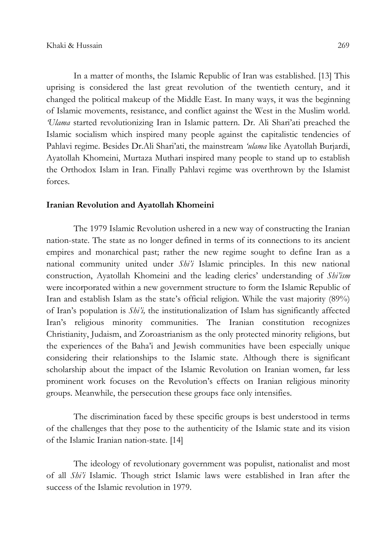In a matter of months, the Islamic Republic of Iran was established. [13] This uprising is considered the last great revolution of the twentieth century, and it changed the political makeup of the Middle East. In many ways, it was the beginning of Islamic movements, resistance, and conflict against the West in the Muslim world. 'Ulama started revolutionizing Iran in Islamic pattern. Dr. Ali Shari'ati preached the Islamic socialism which inspired many people against the capitalistic tendencies of Pahlavi regime. Besides Dr.Ali Shari'ati, the mainstream 'ulama like Ayatollah Burjardi, Ayatollah Khomeini, Murtaza Muthari inspired many people to stand up to establish the Orthodox Islam in Iran. Finally Pahlavi regime was overthrown by the Islamist forces.

#### Iranian Revolution and Ayatollah Khomeini

The 1979 Islamic Revolution ushered in a new way of constructing the Iranian nation-state. The state as no longer defined in terms of its connections to its ancient empires and monarchical past; rather the new regime sought to define Iran as a national community united under  $Shi'i$  Islamic principles. In this new national construction, Ayatollah Khomeini and the leading clerics' understanding of *Shi'ism* were incorporated within a new government structure to form the Islamic Republic of Iran and establish Islam as the state's official religion. While the vast majority (89%) of Iran's population is  $Shi'i$ , the institutionalization of Islam has significantly affected Iran's religious minority communities. The Iranian constitution recognizes Christianity, Judaism, and Zoroastrianism as the only protected minority religions, but the experiences of the Baha'i and Jewish communities have been especially unique considering their relationships to the Islamic state. Although there is significant scholarship about the impact of the Islamic Revolution on Iranian women, far less prominent work focuses on the Revolution's effects on Iranian religious minority groups. Meanwhile, the persecution these groups face only intensifies.

The discrimination faced by these specific groups is best understood in terms of the challenges that they pose to the authenticity of the Islamic state and its vision of the Islamic Iranian nation-state. [14]

The ideology of revolutionary government was populist, nationalist and most of all Shi'i Islamic. Though strict Islamic laws were established in Iran after the success of the Islamic revolution in 1979.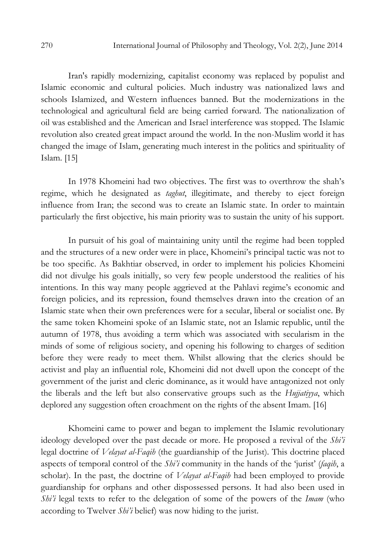Iran's rapidly modernizing, capitalist economy was replaced by populist and Islamic economic and cultural policies. Much industry was nationalized laws and schools Islamized, and Western influences banned. But the modernizations in the technological and agricultural field are being carried forward. The nationalization of oil was established and the American and Israel interference was stopped. The Islamic revolution also created great impact around the world. In the non-Muslim world it has changed the image of Islam, generating much interest in the politics and spirituality of Islam. [15]

In 1978 Khomeini had two objectives. The first was to overthrow the shah's regime, which he designated as *taghut*, illegitimate, and thereby to eject foreign influence from Iran; the second was to create an Islamic state. In order to maintain particularly the first objective, his main priority was to sustain the unity of his support.

In pursuit of his goal of maintaining unity until the regime had been toppled and the structures of a new order were in place, Khomeini's principal tactic was not to be too specific. As Bakhtiar observed, in order to implement his policies Khomeini did not divulge his goals initially, so very few people understood the realities of his intentions. In this way many people aggrieved at the Pahlavi regime's economic and foreign policies, and its repression, found themselves drawn into the creation of an Islamic state when their own preferences were for a secular, liberal or socialist one. By the same token Khomeini spoke of an Islamic state, not an Islamic republic, until the autumn of 1978, thus avoiding a term which was associated with secularism in the minds of some of religious society, and opening his following to charges of sedition before they were ready to meet them. Whilst allowing that the clerics should be activist and play an influential role, Khomeini did not dwell upon the concept of the government of the jurist and cleric dominance, as it would have antagonized not only the liberals and the left but also conservative groups such as the Hujjatiyya, which deplored any suggestion often croachment on the rights of the absent Imam. [16]

Khomeini came to power and began to implement the Islamic revolutionary ideology developed over the past decade or more. He proposed a revival of the *Shi'i* legal doctrine of Velayat al-Faqih (the guardianship of the Jurist). This doctrine placed aspects of temporal control of the  $Shi'i$  community in the hands of the 'jurist' (*faqih*, a scholar). In the past, the doctrine of *Velayat al-Faqih* had been employed to provide guardianship for orphans and other dispossessed persons. It had also been used in Shi'i legal texts to refer to the delegation of some of the powers of the Imam (who according to Twelver *Shi'i* belief) was now hiding to the jurist.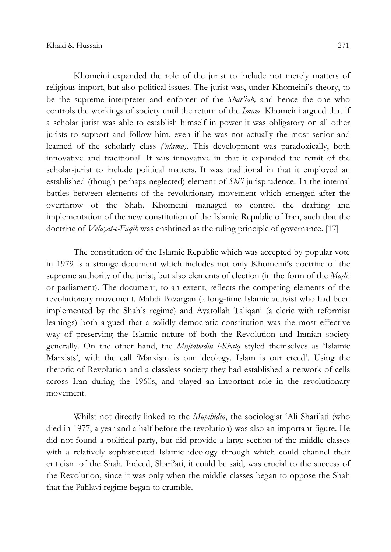Khomeini expanded the role of the jurist to include not merely matters of religious import, but also political issues. The jurist was, under Khomeini's theory, to be the supreme interpreter and enforcer of the *Shar'iah*, and hence the one who controls the workings of society until the return of the *Imam*. Khomeini argued that if a scholar jurist was able to establish himself in power it was obligatory on all other jurists to support and follow him, even if he was not actually the most senior and learned of the scholarly class ('ulama). This development was paradoxically, both innovative and traditional. It was innovative in that it expanded the remit of the scholar-jurist to include political matters. It was traditional in that it employed an established (though perhaps neglected) element of  $\mathcal{S}h\mathcal{V}$  jurisprudence. In the internal battles between elements of the revolutionary movement which emerged after the overthrow of the Shah. Khomeini managed to control the drafting and implementation of the new constitution of the Islamic Republic of Iran, such that the doctrine of *Velayat-e-Faqih* was enshrined as the ruling principle of governance. [17]

The constitution of the Islamic Republic which was accepted by popular vote in 1979 is a strange document which includes not only Khomeini's doctrine of the supreme authority of the jurist, but also elements of election (in the form of the *Majlis* or parliament). The document, to an extent, reflects the competing elements of the revolutionary movement. Mahdi Bazargan (a long-time Islamic activist who had been implemented by the Shah's regime) and Ayatollah Taliqani (a cleric with reformist leanings) both argued that a solidly democratic constitution was the most effective way of preserving the Islamic nature of both the Revolution and Iranian society generally. On the other hand, the *Mujtahadin i-Khalq* styled themselves as 'Islamic Marxists', with the call 'Marxism is our ideology. Islam is our creed'. Using the rhetoric of Revolution and a classless society they had established a network of cells across Iran during the 1960s, and played an important role in the revolutionary movement.

Whilst not directly linked to the *Mujahidin*, the sociologist 'Ali Shari'ati (who died in 1977, a year and a half before the revolution) was also an important figure. He did not found a political party, but did provide a large section of the middle classes with a relatively sophisticated Islamic ideology through which could channel their criticism of the Shah. Indeed, Shari'ati, it could be said, was crucial to the success of the Revolution, since it was only when the middle classes began to oppose the Shah that the Pahlavi regime began to crumble.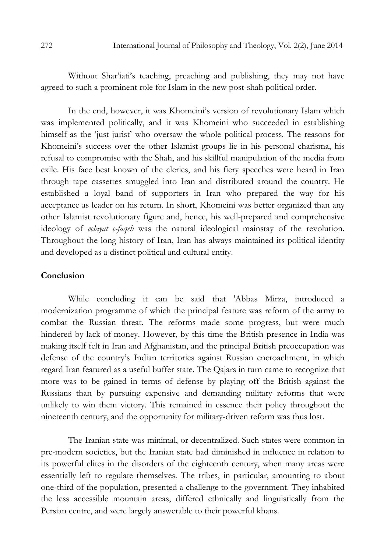Without Shar'iati's teaching, preaching and publishing, they may not have agreed to such a prominent role for Islam in the new post-shah political order.

In the end, however, it was Khomeini's version of revolutionary Islam which was implemented politically, and it was Khomeini who succeeded in establishing himself as the 'just jurist' who oversaw the whole political process. The reasons for Khomeini's success over the other Islamist groups lie in his personal charisma, his refusal to compromise with the Shah, and his skillful manipulation of the media from exile. His face best known of the clerics, and his fiery speeches were heard in Iran through tape cassettes smuggled into Iran and distributed around the country. He established a loyal band of supporters in Iran who prepared the way for his acceptance as leader on his return. In short, Khomeini was better organized than any other Islamist revolutionary figure and, hence, his well-prepared and comprehensive ideology of *velayat e-faqeh* was the natural ideological mainstay of the revolution. Throughout the long history of Iran, Iran has always maintained its political identity and developed as a distinct political and cultural entity.

## Conclusion

While concluding it can be said that 'Abbas Mirza, introduced a modernization programme of which the principal feature was reform of the army to combat the Russian threat. The reforms made some progress, but were much hindered by lack of money. However, by this time the British presence in India was making itself felt in Iran and Afghanistan, and the principal British preoccupation was defense of the country's Indian territories against Russian encroachment, in which regard Iran featured as a useful buffer state. The Qajars in turn came to recognize that more was to be gained in terms of defense by playing off the British against the Russians than by pursuing expensive and demanding military reforms that were unlikely to win them victory. This remained in essence their policy throughout the nineteenth century, and the opportunity for military-driven reform was thus lost.

The Iranian state was minimal, or decentralized. Such states were common in pre-modern societies, but the Iranian state had diminished in influence in relation to its powerful elites in the disorders of the eighteenth century, when many areas were essentially left to regulate themselves. The tribes, in particular, amounting to about one-third of the population, presented a challenge to the government. They inhabited the less accessible mountain areas, differed ethnically and linguistically from the Persian centre, and were largely answerable to their powerful khans.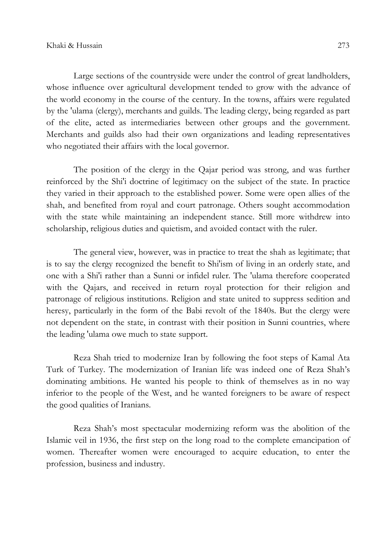Large sections of the countryside were under the control of great landholders, whose influence over agricultural development tended to grow with the advance of the world economy in the course of the century. In the towns, affairs were regulated by the 'ulama (clergy), merchants and guilds. The leading clergy, being regarded as part of the elite, acted as intermediaries between other groups and the government. Merchants and guilds also had their own organizations and leading representatives who negotiated their affairs with the local governor.

The position of the clergy in the Qajar period was strong, and was further reinforced by the Shi'i doctrine of legitimacy on the subject of the state. In practice they varied in their approach to the established power. Some were open allies of the shah, and benefited from royal and court patronage. Others sought accommodation with the state while maintaining an independent stance. Still more withdrew into scholarship, religious duties and quietism, and avoided contact with the ruler.

The general view, however, was in practice to treat the shah as legitimate; that is to say the clergy recognized the benefit to Shi'ism of living in an orderly state, and one with a Shi'i rather than a Sunni or infidel ruler. The 'ulama therefore cooperated with the Qajars, and received in return royal protection for their religion and patronage of religious institutions. Religion and state united to suppress sedition and heresy, particularly in the form of the Babi revolt of the 1840s. But the clergy were not dependent on the state, in contrast with their position in Sunni countries, where the leading 'ulama owe much to state support.

Reza Shah tried to modernize Iran by following the foot steps of Kamal Ata Turk of Turkey. The modernization of Iranian life was indeed one of Reza Shah's dominating ambitions. He wanted his people to think of themselves as in no way inferior to the people of the West, and he wanted foreigners to be aware of respect the good qualities of Iranians.

Reza Shah's most spectacular modernizing reform was the abolition of the Islamic veil in 1936, the first step on the long road to the complete emancipation of women. Thereafter women were encouraged to acquire education, to enter the profession, business and industry.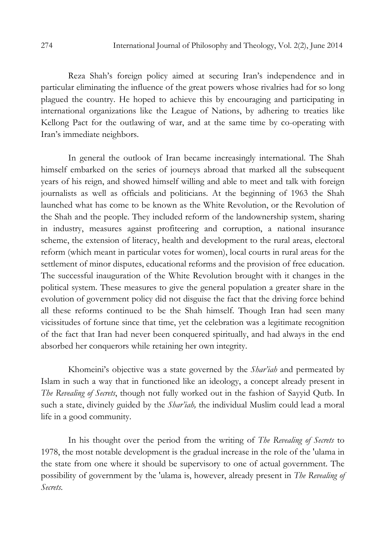Reza Shah's foreign policy aimed at securing Iran's independence and in particular eliminating the influence of the great powers whose rivalries had for so long plagued the country. He hoped to achieve this by encouraging and participating in international organizations like the League of Nations, by adhering to treaties like Kellong Pact for the outlawing of war, and at the same time by co-operating with Iran's immediate neighbors.

In general the outlook of Iran became increasingly international. The Shah himself embarked on the series of journeys abroad that marked all the subsequent years of his reign, and showed himself willing and able to meet and talk with foreign journalists as well as officials and politicians. At the beginning of 1963 the Shah launched what has come to be known as the White Revolution, or the Revolution of the Shah and the people. They included reform of the landownership system, sharing in industry, measures against profiteering and corruption, a national insurance scheme, the extension of literacy, health and development to the rural areas, electoral reform (which meant in particular votes for women), local courts in rural areas for the settlement of minor disputes, educational reforms and the provision of free education. The successful inauguration of the White Revolution brought with it changes in the political system. These measures to give the general population a greater share in the evolution of government policy did not disguise the fact that the driving force behind all these reforms continued to be the Shah himself. Though Iran had seen many vicissitudes of fortune since that time, yet the celebration was a legitimate recognition of the fact that Iran had never been conquered spiritually, and had always in the end absorbed her conquerors while retaining her own integrity.

Khomeini's objective was a state governed by the *Shar'iah* and permeated by Islam in such a way that in functioned like an ideology, a concept already present in The Revealing of Secrets, though not fully worked out in the fashion of Sayyid Qutb. In such a state, divinely guided by the *Shar'iah*, the individual Muslim could lead a moral life in a good community.

In his thought over the period from the writing of The Revealing of Secrets to 1978, the most notable development is the gradual increase in the role of the 'ulama in the state from one where it should be supervisory to one of actual government. The possibility of government by the 'ulama is, however, already present in The Revealing of Secrets.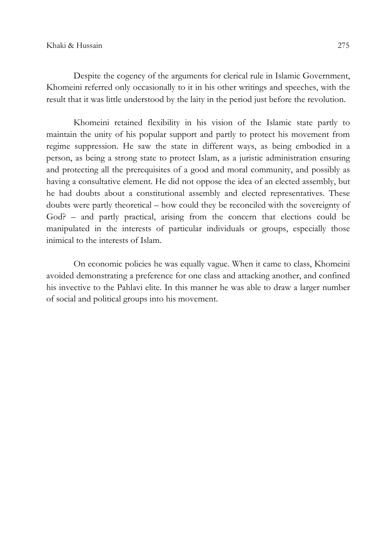Despite the cogency of the arguments for clerical rule in Islamic Government, Khomeini referred only occasionally to it in his other writings and speeches, with the result that it was little understood by the laity in the period just before the revolution.

Khomeini retained flexibility in his vision of the Islamic state partly to maintain the unity of his popular support and partly to protect his movement from regime suppression. He saw the state in different ways, as being embodied in a person, as being a strong state to protect Islam, as a juristic administration ensuring and protecting all the prerequisites of a good and moral community, and possibly as having a consultative element. He did not oppose the idea of an elected assembly, but he had doubts about a constitutional assembly and elected representatives. These doubts were partly theoretical – how could they be reconciled with the sovereignty of God? – and partly practical, arising from the concern that elections could be manipulated in the interests of particular individuals or groups, especially those inimical to the interests of Islam.

On economic policies he was equally vague. When it came to class, Khomeini avoided demonstrating a preference for one class and attacking another, and confined his invective to the Pahlavi elite. In this manner he was able to draw a larger number of social and political groups into his movement.